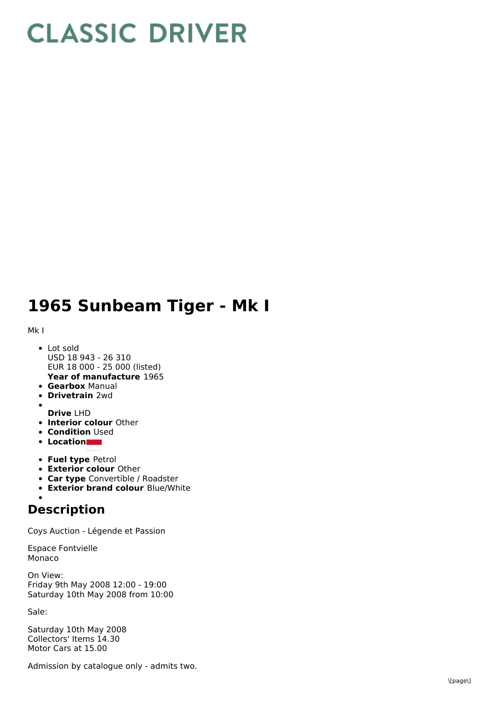## **CLASSIC DRIVER**

## 1965 Sunbeam Tiger - Mk I

M k I

- **Year of manufacture** 1965 L o t s old USD 18 943 - 26 310 EUR 18 000 - 25 000 (listed)
- **Gearbox** Manual
- **Drivetrain** 2wd
- 
- **Drive** LHD
- **Interior colour** Other **Condition** Used
- **L o c a t i o n**
- **Fuel type Petrol**
- **Exterior colour Other**
- **Car type** Convertible / Roadster
- **Exterior brand colour** Blue/White

## **Description**

Coys Auction - Légende et Passion

E s p a c e F o n t vielle Monaco

O n Vie w: Friday 9t h M a y 2 0 0 8 1 2:0 0 - 1 9:0 0 Saturday 10th May 2008 from 10:00

S ale:

Saturday 10th May 2008 Collectors' Items 14.30 Motor Cars at 15.00

Admission by catalogue only - admits two.